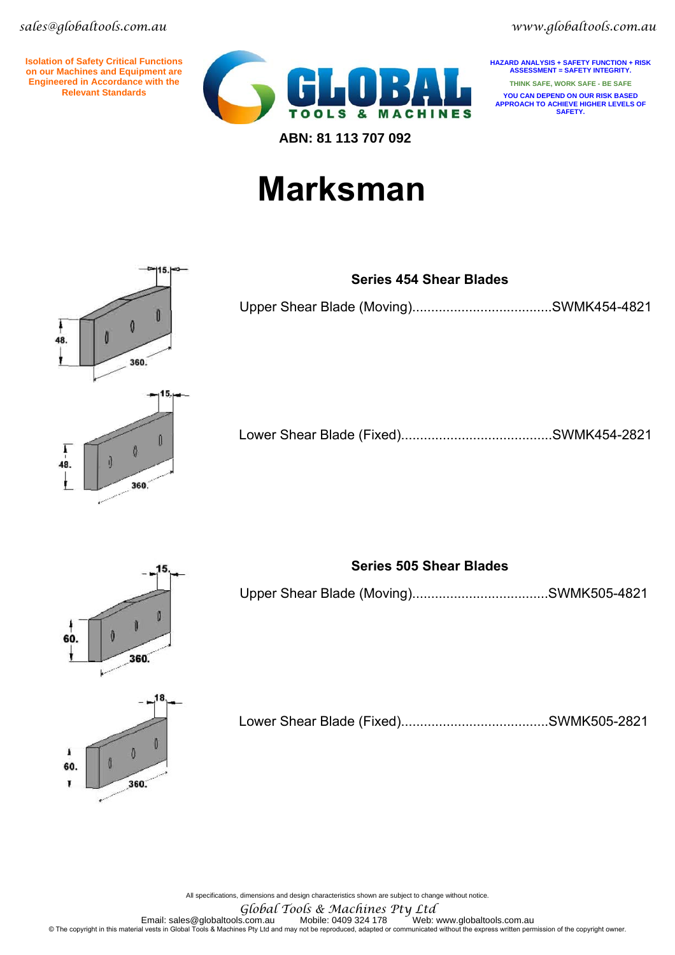*sales@globaltools.com.au www.globaltools.com.au* 

**Isolation of Safety Critical Functions on our Machines and Equipment are Engineered in Accordance with the Relevant Standards**



**HAZARD ANALYSIS + SAFETY FUNCTION + RISK ASSESSMENT = SAFETY INTEGRITY. THINK SAFE, WORK SAFE - BE SAFE YOU CAN DEPEND ON OUR RISK BASED APPROACH TO ACHIEVE HIGHER LEVELS OF SAFETY.** 

## **Marksman**



#### **Series 454 Shear Blades**

Upper Shear Blade (Moving).....................................SWMK454-4821

Lower Shear Blade (Fixed)........................................SWMK454-2821



### **Series 505 Shear Blades**

Upper Shear Blade (Moving)....................................SWMK505-4821

Lower Shear Blade (Fixed).......................................SWMK505-2821

All specifications, dimensions and design characteristics shown are subject to change without notice.

*Global Tools & Machines Pty Ltd* 

Email: sales@globaltools.com.au Mobile: 0409 324 178 ~ Web: www.globaltools.com.au Email: sales@globaltools.com<br>The copyright in this material vests in Global Tools & Machines Pty Ltd and may not be reproduced, adapted or